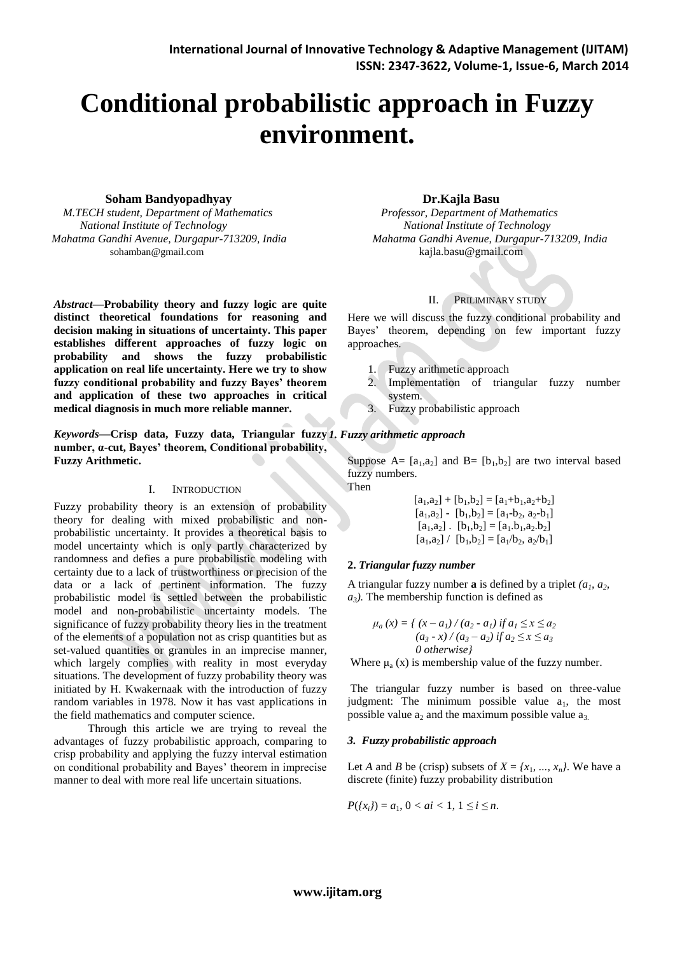# **Conditional probabilistic approach in Fuzzy environment.**

# **Soham Bandyopadhyay Dr.Kajla Basu**

 *M.TECH student, Department of Mathematics Professor, Department of Mathematics National Institute of Technology National Institute of Technology* sohamban@gmail.com [kajla.basu@gmail.com](mailto:kajla.basu@gmail.com)

*Abstract***—Probability theory and fuzzy logic are quite distinct theoretical foundations for reasoning and decision making in situations of uncertainty. This paper establishes different approaches of fuzzy logic on probability and shows the fuzzy probabilistic application on real life uncertainty. Here we try to show fuzzy conditional probability and fuzzy Bayes' theorem and application of these two approaches in critical medical diagnosis in much more reliable manner.**

*Keywords—***Crisp data, Fuzzy data, Triangular fuzzy**  *1. Fuzzy arithmetic approach* **number, α-cut, Bayes' theorem, Conditional probability, Fuzzy Arithmetic.**

# I. INTRODUCTION

Fuzzy probability theory is an extension of probability theory for dealing with mixed probabilistic and nonprobabilistic uncertainty. It provides a theoretical basis to model uncertainty which is only partly characterized by randomness and defies a pure probabilistic modeling with certainty due to a lack of trustworthiness or precision of the data or a lack of pertinent information. The fuzzy probabilistic model is settled between the probabilistic model and non-probabilistic uncertainty models. The significance of fuzzy probability theory lies in the treatment of the elements of a population not as crisp quantities but as set-valued quantities or granules in an imprecise manner, which largely complies with reality in most everyday situations. The development of fuzzy probability theory was initiated by H. Kwakernaak with the introduction of fuzzy random variables in 1978. Now it has vast applications in the field mathematics and computer science.

 Through this article we are trying to reveal the advantages of fuzzy probabilistic approach, comparing to crisp probability and applying the fuzzy interval estimation on conditional probability and Bayes' theorem in imprecise manner to deal with more real life uncertain situations.

*Mahatma Gandhi Avenue, Durgapur-713209, India Mahatma Gandhi Avenue, Durgapur-713209, India* 

# II. PRILIMINARY STUDY

Here we will discuss the fuzzy conditional probability and Bayes' theorem, depending on few important fuzzy approaches.

- 1. Fuzzy arithmetic approach
- 2. Implementation of triangular fuzzy number system.
- 3. Fuzzy probabilistic approach

Suppose A=  $[a_1,a_2]$  and B=  $[b_1,b_2]$  are two interval based fuzzy numbers. Then

> $[a_1,a_2] + [b_1,b_2] = [a_1+b_1,a_2+b_2]$  $[a_1,a_2] - [b_1,b_2] = [a_1-b_2, a_2-b_1]$  $[a_1,a_2]$ .  $[b_1,b_2] = [a_1.b_1,a_2.b_2]$  $[a_1,a_2] / [b_1,b_2] = [a_1/b_2, a_2/b_1]$

# **2.** *Triangular fuzzy number*

A triangular fuzzy number **a** is defined by a triplet  $(a_1, a_2)$ *a3).* The membership function is defined as

$$
\mu_a(x) = \left\{ \frac{(x-a_1)}{(a_2-a_1)} \text{ if } a_1 \le x \le a_2 \\ \frac{(a_3-x)}{(a_3-a_2)} \text{ if } a_2 \le x \le a_3 \\ 0 \text{ otherwise} \right\}
$$

Where  $\mu_a(x)$  is membership value of the fuzzy number.

The triangular fuzzy number is based on three-value judgment: The minimum possible value  $a_1$ , the most possible value  $a_2$  and the maximum possible value  $a_3$ .

# *3. Fuzzy probabilistic approach*

Let *A* and *B* be (crisp) subsets of  $X = \{x_1, ..., x_n\}$ . We have a discrete (finite) fuzzy probability distribution

$$
P({x_i}) = a_1, 0 < ai < 1, 1 \le i \le n.
$$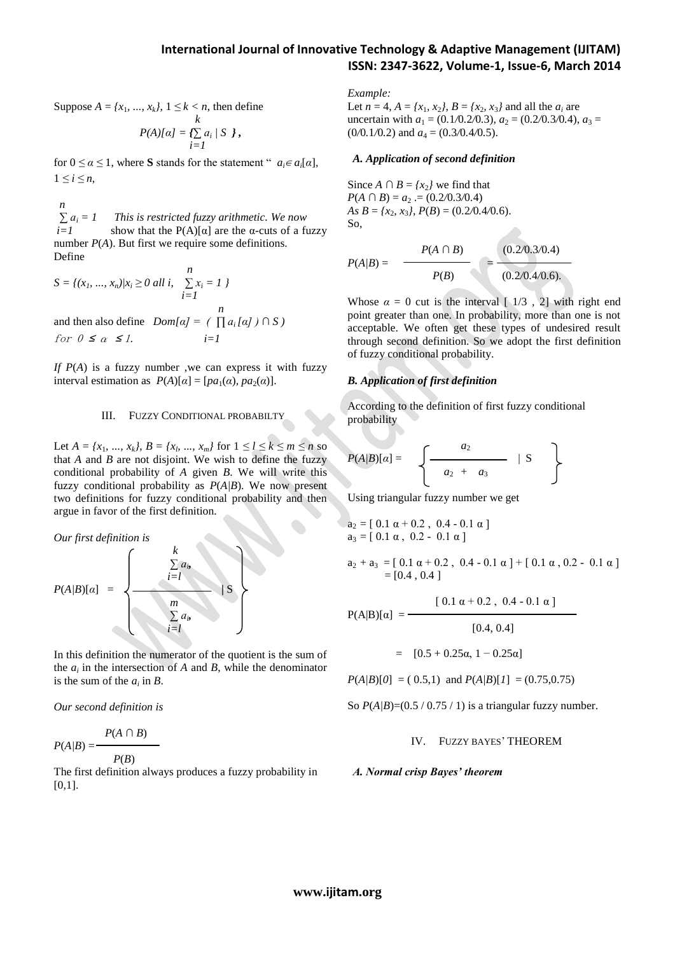Suppose  $A = \{x_1, ..., x_k\}, 1 \le k < n$ , then define

$$
P(A)[\alpha] = \sum_{i=1}^k a_i / S \}
$$

for  $0 \le \alpha \le 1$ , where **S** stands for the statement "  $a_i \in a_i[\alpha]$ ,  $1 \le i \le n$ .

 *n*  $\sum a_i = 1$  *This is restricted fuzzy arithmetic. We now*  $\overline{i}$  show that the P(A)[α] are the α-cuts of a fuzzy number *P*(*A*). But first we require some definitions. Define

$$
S = \{(x_1, ..., x_n) | x_i \ge 0 \text{ all } i, \sum_{i=1}^n x_i = 1 \}
$$
  
and then also define  $Dom[\alpha] = \left( \prod a_i[\alpha] \right) \cap S$   
for  $0 \le \alpha \le 1$ .  $i=1$ 

*If P*(*A*) is a fuzzy number ,we can express it with fuzzy interval estimation as  $P(A)[\alpha] = [pa_1(\alpha), pa_2(\alpha)].$ 

### III. FUZZY CONDITIONAL PROBABILTY

Let  $A = \{x_1, ..., x_k\}, B = \{x_b, ..., x_m\}$  for  $1 \le l \le k \le m \le n$  so that *A* and *B* are not disjoint. We wish to define the fuzzy conditional probability of *A* given *B*. We will write this fuzzy conditional probability as *P*(*A|B*). We now present two definitions for fuzzy conditional probability and then argue in favor of the first definition.

*Our first definition is*

$$
P(A/B)[\alpha] = \left\{ \begin{array}{c} k \\ \sum a_{i}, \\ i=l \\ \sum a_{i} \\ i=l \end{array} \right\}
$$

In this definition the numerator of the quotient is the sum of the  $a_i$  in the intersection of  $A$  and  $B$ , while the denominator is the sum of the  $a_i$  in  $B$ .

*Our second definition is*

$$
P(A/B) = \frac{P(A \cap B)}{P(B)}
$$

The first definition always produces a fuzzy probability in [0*,*1].

*Example:*

Let  $n = 4$ ,  $A = \{x_1, x_2\}$ ,  $B = \{x_2, x_3\}$  and all the  $a_i$  are uncertain with  $a_1 = (0.1/0.2/0.3), a_2 = (0.2/0.3/0.4), a_3 =$  $(0/0.1/0.2)$  and  $a_4 = (0.3/0.4/0.5)$ .

#### *A. Application of second definition*

Since *A* ∩ *B* =  $\{x_2\}$  we find that  $P(A \cap B) = a_2 = (0.2/0.3/0.4)$ *As*  $B = \{x_2, x_3\}, P(B) = (0.2/0.4/0.6).$ So,

$$
P(A/B) = \frac{P(A \cap B)}{P(B)} = \frac{(0.20.3/0.4)}{(0.2/0.4/0.6)} = \frac{P(A \cap B)}{P(B)}
$$

Whose  $\alpha = 0$  cut is the interval  $\lceil 1/3, 2 \rceil$  with right end point greater than one. In probability, more than one is not acceptable. We often get these types of undesired result through second definition. So we adopt the first definition of fuzzy conditional probability.

#### *B. Application of first definition*

According to the definition of first fuzzy conditional probability

$$
P(A/B)[\alpha] = \left\{ \begin{array}{c} a_2 \\ a_2 + a_3 \end{array} \middle| S \right\}
$$

Using triangular fuzzy number we get

$$
a_2 = [ 0.1 \alpha + 0.2 , 0.4 - 0.1 \alpha ]
$$
  

$$
a_3 = [ 0.1 \alpha , 0.2 - 0.1 \alpha ]
$$

 $a_2 + a_3 = [ 0.1 \alpha + 0.2, 0.4 - 0.1 \alpha ] + [ 0.1 \alpha, 0.2 - 0.1 \alpha ]$  $=[0.4, 0.4]$ 

$$
P(A|B)[\alpha] = \frac{[0.1 \alpha + 0.2, 0.4 - 0.1 \alpha]}{[0.4, 0.4]}
$$

$$
= [0.5 + 0.25\alpha, 1 - 0.25\alpha]
$$

 $P(A|B)[0] = (0.5,1)$  and  $P(A|B)[1] = (0.75,0.75)$ 

So  $P(A/B)=(0.5/0.75/1)$  is a triangular fuzzy number.

### IV. FUZZY BAYES' THEOREM

#### *A. Normal crisp Bayes' theorem*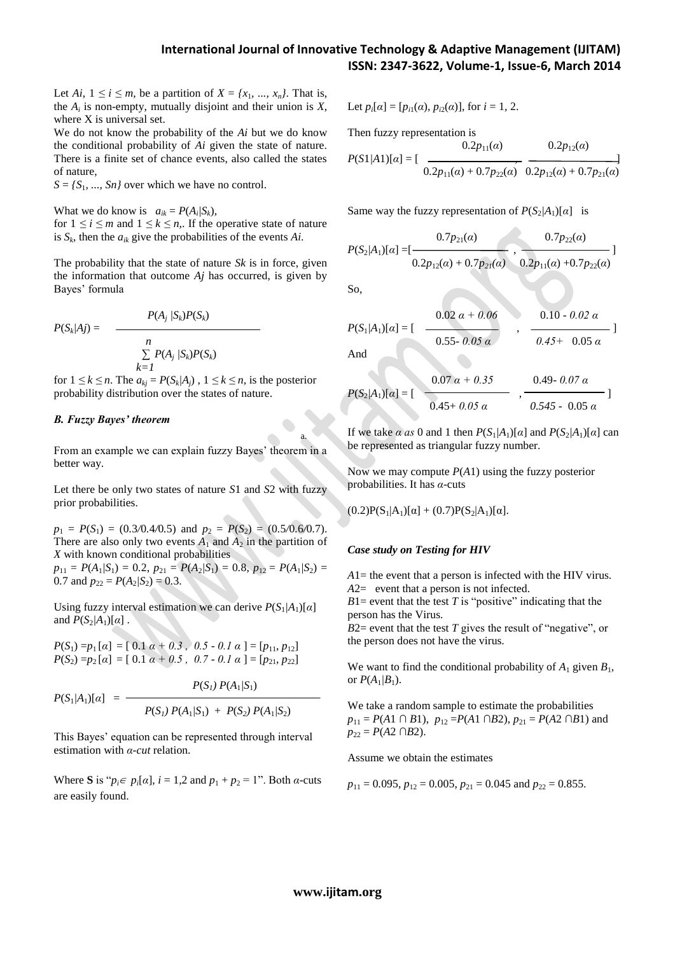Let *Ai*,  $1 \le i \le m$ , be a partition of  $X = \{x_1, ..., x_n\}$ . That is, the  $A_i$  is non-empty, mutually disjoint and their union is  $X$ , where X is universal set.

We do not know the probability of the *Ai* but we do know the conditional probability of *Ai* given the state of nature. There is a finite set of chance events, also called the states of nature,

 $S = \{S_1, \ldots, S_n\}$  over which we have no control.

What we do know is  $a_{ik} = P(A_i/S_k)$ , for  $1 \le i \le m$  and  $1 \le k \le n$ . If the operative state of nature is  $S_k$ , then the  $a_{ik}$  give the probabilities of the events  $Ai$ .

The probability that the state of nature *Sk* is in force, given the information that outcome *Aj* has occurred, is given by Bayes' formula

$$
P(S_k|A_j) = \frac{P(A_j|S_k)P(S_k)}{\sum_{k=1}^n P(A_j|S_k)P(S_k)}
$$

for  $1 \leq k \leq n$ . The  $a_{kj} = P(S_k | A_j)$ ,  $1 \leq k \leq n$ , is the posterior probability distribution over the states of nature.

# *B. Fuzzy Bayes' theorem*

From an example we can explain fuzzy Bayes' theorem in a better way.

Let there be only two states of nature *S*1 and *S*2 with fuzzy prior probabilities.

 $p_1 = P(S_1) = (0.3/0.4/0.5)$  and  $p_2 = P(S_2) = (0.5/0.6/0.7)$ . There are also only two events  $A_1$  and  $A_2$  in the partition of *X* with known conditional probabilities

 $p_{11} = P(A_1/S_1) = 0.2$ ,  $p_{21} = P(A_2/S_1) = 0.8$ ,  $p_{12} = P(A_1/S_2) = 0.8$ 0.7 and  $p_{22} = P(A_2/S_2) = 0.3$ .

Using fuzzy interval estimation we can derive  $P(S_1/A_1)[\alpha]$ and  $P(S_2/A_1)[\alpha]$ .

*P*(*S*<sub>1</sub>) = *p*<sub>1</sub> [*a*] = [ 0.1 *a* + 0.3 *,* 0.5 - 0.1 *a* ] = [*p*<sub>11</sub>, *p*<sub>12</sub>] *P*(*S*<sub>2</sub>) = *p*<sub>2</sub> [*a*] = [0.1 *a* + 0.5, 0.7 - 0.1 *a* ] = [*p*<sub>21</sub>, *p*<sub>22</sub>]

$$
P(S_1/A_1)[\alpha] = \frac{P(S_1) P(A_1/S_1)}{P(S_1) P(A_1/S_1) + P(S_2) P(A_1/S_2)}
$$

This Bayes' equation can be represented through interval estimation with *α-cut* relation.

Where **S** is " $p_i \in p_i[\alpha]$ ,  $i = 1, 2$  and  $p_1 + p_2 = 1$ ". Both  $\alpha$ -cuts are easily found.

Let 
$$
p_i[\alpha] = [p_{i1}(\alpha), p_{i2}(\alpha)]
$$
, for  $i = 1, 2$ .

Then fuzzy representation is

$$
P(S1/A1)[\alpha] = \left[\begin{array}{cc} 0.2p_{11}(\alpha) & 0.2p_{12}(\alpha) \\ 0.2p_{11}(\alpha) + 0.7p_{22}(\alpha) & 0.2p_{12}(\alpha) + 0.7p_{21}(\alpha) \end{array}\right]
$$

Same way the fuzzy representation of  $P(S_2/A_1)[\alpha]$  is

$$
P(S_2/A_1)[\alpha] = [\frac{0.7p_{21}(\alpha)}{0.2p_{12}(\alpha)+0.7p_{21}(\alpha)}, \frac{0.7p_{22}(\alpha)}{0.2p_{11}(\alpha)+0.7p_{22}(\alpha)}]
$$

So,

$$
P(S_1/A_1)[\alpha] = \begin{bmatrix} 0.02 \alpha + 0.06 & 0.10 \cdot 0.02 \alpha \\ 0.55 \cdot 0.05 \alpha & 0.45 + 0.05 \alpha \end{bmatrix}
$$

And

a.

$$
P(S_2/A_1)[\alpha] = \left[\begin{array}{cc} 0.07 \alpha + 0.35 & 0.49 - 0.07 \alpha \\ \hline 0.45 + 0.05 \alpha & 0.545 - 0.05 \alpha \end{array}\right]
$$

If we take *α as* 0 and 1 then  $P(S_1/A_1)[\alpha]$  and  $P(S_2/A_1)[\alpha]$  can be represented as triangular fuzzy number.

Now we may compute *P*(*A*1) using the fuzzy posterior probabilities. It has *α*-cuts

 $(0.2)P(S_1|A_1)[\alpha] + (0.7)P(S_2|A_1)[\alpha].$ 

### *Case study on Testing for HIV*

*A*1= the event that a person is infected with the HIV virus. *A*2= event that a person is not infected.

 $B1$ = event that the test *T* is "positive" indicating that the person has the Virus.

 $B2$ = event that the test *T* gives the result of "negative", or the person does not have the virus.

We want to find the conditional probability of  $A_1$  given  $B_1$ , or  $P(A_1/B_1)$ .

We take a random sample to estimate the probabilities *p*<sub>11</sub> = *P*(*A*1 ∩ *B*<sub>1</sub>), *p*<sub>12</sub> = *P*(*A*1 ∩ *B*<sub>2</sub>), *p*<sub>21</sub> = *P*(*A*2 ∩ *B*<sub>1</sub>) and  $p_{22} = P(A2 \cap B2)$ .

Assume we obtain the estimates

$$
p_{11} = 0.095
$$
,  $p_{12} = 0.005$ ,  $p_{21} = 0.045$  and  $p_{22} = 0.855$ .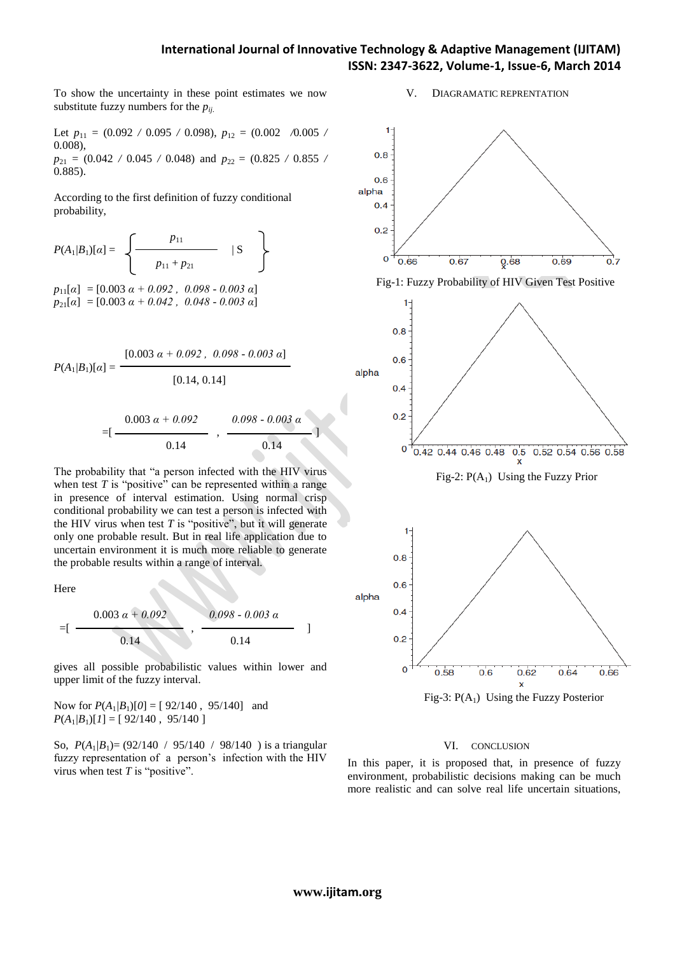# **International Journal of Innovative Technology & Adaptive Management (IJITAM) ISSN: 2347-3622, Volume-1, Issue-6, March 2014**

To show the uncertainty in these point estimates we now substitute fuzzy numbers for the  $p_{ii}$ .

Let  $p_{11} = (0.092 \; / \; 0.095 \; / \; 0.098)$ ,  $p_{12} = (0.002 \; \; / \; 0.005 \; / \; 0.005 \; / \; 0.005 \; / \; 0.0005 \; / \; 0.0000 \;$ 0*.*008),  $p_{21} = (0.042 \div 0.045 \div 0.048)$  and  $p_{22} = (0.825 \div 0.855 \div 0.048)$ 0*.*885).

According to the first definition of fuzzy conditional probability,

$$
P(A_1/B_1)[\alpha] = \left\{ \begin{array}{c} p_{11} \\ p_{11} + p_{21} \end{array} \middle| S \right\}
$$

 $p_{11}[\alpha] = [0.003 \alpha + 0.092, 0.098 - 0.003 \alpha]$ *p*21[*α*] = [0.003 *α + 0.042 , 0.048 - 0.003 α*]

$$
P(A_1/B_1)[\alpha] = \frac{[0.003 \ \alpha + 0.092 , \ 0.098 \cdot 0.003 \ \alpha]}{[0.14, 0.14]}
$$

$$
=[\frac{0.003 \ \alpha + 0.092}{0.14} , \frac{0.098 \ \cdot 0.003 \ \alpha}{0.14}]
$$

The probability that "a person infected with the HIV virus when test  $T$  is "positive" can be represented within a range in presence of interval estimation. Using normal crisp conditional probability we can test a person is infected with the HIV virus when test  $T$  is "positive", but it will generate only one probable result. But in real life application due to uncertain environment it is much more reliable to generate the probable results within a range of interval.

Here

$$
= \left[ \begin{array}{c} 0.003 \ \alpha + 0.092 \\ 0.14 \end{array} \right], \begin{array}{c} 0.098 - 0.003 \ \alpha \\ 0.14 \end{array} \Big]
$$

gives all possible probabilistic values within lower and upper limit of the fuzzy interval.

Now for  $P(A_1/B_1)[0] = [92/140, 95/140]$  and  $P(A_1/B_1)[1] = [92/140, 95/140]$ 

So, *P*(*A*1*|B*1)= (92/140 / 95/140 / 98/140 ) is a triangular fuzzy representation of a person's infection with the HIV virus when test *T* is "positive".



V. DIAGRAMATIC REPRENTATION

Fig-3:  $P(A_1)$  Using the Fuzzy Posterior

#### VI. CONCLUSION

In this paper, it is proposed that, in presence of fuzzy environment, probabilistic decisions making can be much more realistic and can solve real life uncertain situations,